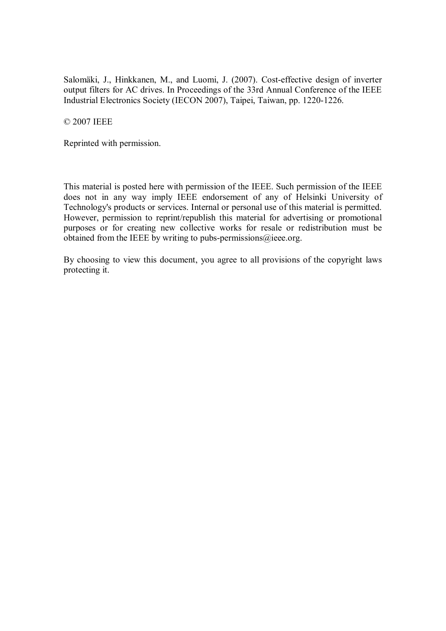Salomäki, J., Hinkkanen, M., and Luomi, J. (2007). Cost-effective design of inverter output filters for AC drives. In Proceedings of the 33rd Annual Conference of the IEEE Industrial Electronics Society (IECON 2007), Taipei, Taiwan, pp. 1220-1226.

© 2007 IEEE

Reprinted with permission.

This material is posted here with permission of the IEEE. Such permission of the IEEE does not in any way imply IEEE endorsement of any of Helsinki University of Technology's products or services. Internal or personal use of this material is permitted. However, permission to reprint/republish this material for advertising or promotional purposes or for creating new collective works for resale or redistribution must be obtained from the IEEE by writing to [pubs-permissions@ieee.org.](mailto:pubs-permissions@ieee.org)

By choosing to view this document, you agree to all provisions of the copyright laws protecting it.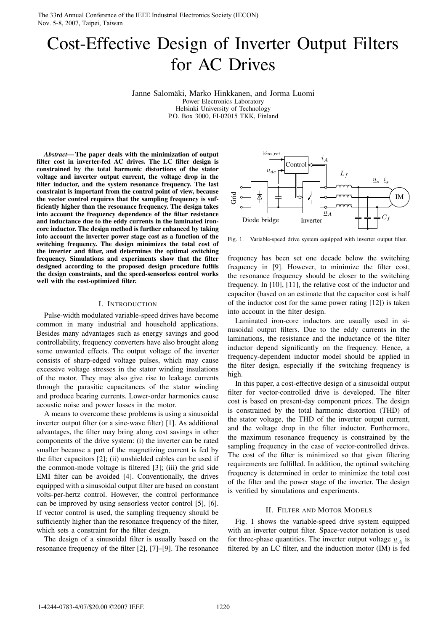The 33rd Annual Conference of the IEEE Industrial Electronics Society (IECON) Nov. 5-8, 2007, Taipei, Taiwan

# Cost-Effective Design of Inverter Output Filters for AC Drives

PSfrag replacements

Janne Salomäki, Marko Hinkkanen, and Jorma Luomi Power Electronics Laboratory Helsinki University of Technology P.O. Box 3000, FI-02015 TKK, Finland

n

*Abstract*— The paper deals with the minimization of output filter cost in inverter-fed AC drives. The LC filter design is constrained by the total harmonic distortions of the stator voltage and inverter output current, the voltage drop in the filter inductor, and the system resonance frequency. The last constraint is important from the control point of view, because the vector control requires that the sampling frequency is sufficiently higher than the resonance frequency. The design takes  $L_c$ into account the frequency dependence of the filter resistance  $R_c$ and inductance due to the eddy currents in the laminated iron- $C_c$ core inductor. The design method is further enhanced by taking  $_{c m}$ into account the inverter power stage cost as a function of the switching frequency. The design minimizes the total cost of the inverter and filter, and determines the optimal switching frequency. Simulations and experiments show that the filter designed according to the proposed design procedure fulfils the design constraints, and the speed-sensorless control works well with the cost-optimized filter.

#### I. INTRODUCTION

Pulse-width modulated variable-speed drives have become common in many industrial and household applications. Besides many advantages such as energy savings and good controllability, frequency converters have also brought along some unwanted effects. The output voltage of the inverter consists of sharp-edged voltage pulses, which may cause excessive voltage stresses in the stator winding insulations of the motor. They may also give rise to leakage currents through the parasitic capacitances of the stator winding and produce bearing currents. Lower-order harmonics cause acoustic noise and power losses in the motor.

A means to overcome these problems is using a sinusoidal inverter output filter (or a sine-wave filter) [1]. As additional advantages, the filter may bring along cost savings in other components of the drive system: (i) the inverter can be rated smaller because a part of the magnetizing current is fed by the filter capacitors [2]; (ii) unshielded cables can be used if the common-mode voltage is filtered [3]; (iii) the grid side EMI filter can be avoided [4]. Conventionally, the drives equipped with a sinusoidal output filter are based on constant volts-per-hertz control. However, the control performance can be improved by using sensorless vector control [5], [6]. If vector control is used, the sampling frequency should be sufficiently higher than the resonance frequency of the filter, which sets a constraint for the filter design.

The design of a sinusoidal filter is usually based on the resonance frequency of the filter [2], [7]–[9]. The resonance

 $\omega_{m,\mathrm{ref}}$  $i_A$ Control  $u_{dc}$  $L_f$  $u_i$ ,  $i_s$ Grid 本 IM  $\underline{u}_A$  $C_f$ Diode bridge Inverter

Fig. 1. Variable-speed drive system equipped with inverter output filter.

frequency has been set one decade below the switching frequency in [9]. However, to minimize the filter cost, the resonance frequency should be closer to the switching frequency. In [10], [11], the relative cost of the inductor and capacitor (based on an estimate that the capacitor cost is half of the inductor cost for the same power rating [12]) is taken into account in the filter design.

Laminated iron-core inductors are usually used in sinusoidal output filters. Due to the eddy currents in the laminations, the resistance and the inductance of the filter inductor depend significantly on the frequency. Hence, a frequency-dependent inductor model should be applied in the filter design, especially if the switching frequency is high.

In this paper, a cost-effective design of a sinusoidal output filter for vector-controlled drive is developed. The filter cost is based on present-day component prices. The design is constrained by the total harmonic distortion (THD) of the stator voltage, the THD of the inverter output current, and the voltage drop in the filter inductor. Furthermore, the maximum resonance frequency is constrained by the sampling frequency in the case of vector-controlled drives. The cost of the filter is minimized so that given filtering requirements are fulfilled. In addition, the optimal switching frequency is determined in order to minimize the total cost of the filter and the power stage of the inverter. The design is verified by simulations and experiments.

## II. FILTER AND MOTOR MODELS

Fig. 1 shows the variable-speed drive system equipped with an inverter output filter. Space-vector notation is used for three-phase quantities. The inverter output voltage  $u_A$  is filtered by an LC filter, and the induction motor (IM) is fed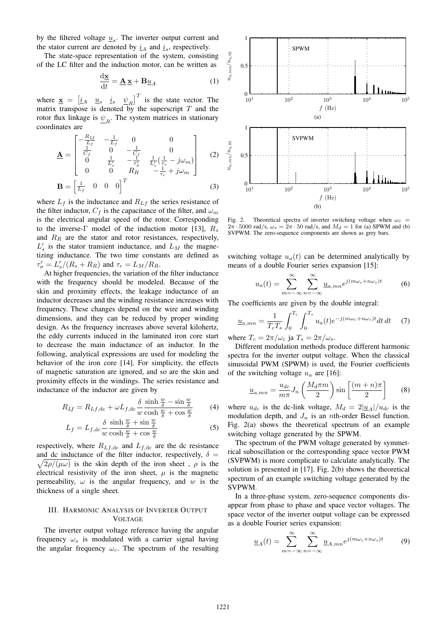by the filtered voltage  $\underline{u}_s$ . The inverter output current and the stator current are denoted by  $\underline{i}_A$  and  $\underline{i}_s$ , respectively.

The state-space representation of the system, consisting of the LC filter and the induction motor, can be written as

$$
\frac{\mathrm{d}\mathbf{x}}{\mathrm{d}t} = \mathbf{\underline{A}}\,\mathbf{x} + \mathbf{B}\,\underline{u}_A \tag{1}
$$

where  $\underline{\mathbf{x}} = \begin{bmatrix} \underline{i}_A & \underline{u}_s & \underline{i}_s & \underline{\psi}_R \end{bmatrix}^T$  is the state vector. The matrix transpose is denoted by the superscript  $T$  and the rotor flux linkage is  $\underline{\psi}_R$ . The system matrices **Refisiationary** ents (a) coordinates are

$$
\mathbf{\underline{A}} = \begin{bmatrix} -\frac{R_{Lf}}{L_f} & -\frac{1}{L_f} & 0 & 0\\ \frac{1}{C_f} & 0 & -\frac{1}{C_f} & 0\\ 0 & \frac{1}{L'_s} & -\frac{1}{\tau'_s} & \frac{1}{L'_s}(\frac{1}{\tau_r} - j\omega_m)\\ 0 & 0 & R_R & -\frac{1}{\tau_r} + j\omega_m \end{bmatrix}
$$
(2)  

$$
\mathbf{B} = \begin{bmatrix} \frac{1}{L_f} & 0 & 0 & 0 \end{bmatrix}^T
$$
(3)

where  $L_f$  is the inductance and  $R_{Lf}$  the series resistance of the filter inductor,  $C_f$  is the capacitance of the filter, and  $\omega_m$ is the electrical angular speed of the rotor. Corresponding to the inverse-Γ model of the induction motor [13],  $R_s$ and  $R_R$  are the stator and rotor resistances, respectively,  $L'_{s}$  is the stator transient inductance, and  $L_{M}$  the magnetizing inductance. The two time constants are defined as  $\tau'_{\sigma} = L'_{s}/(R_{s} + R_{R})$  and  $\tau_{r} = L_{M}/R_{R}$ .

At higher frequencies, the variation of the filter inductance with the frequency should be modeled. Because of the skin and proximity effects, the leakage inductance of an inductor decreases and the winding resistance increases with frequency. These changes depend on the wire and winding dimensions, and they can be reduced by proper winding design. As the frequency increases above several kilohertz, the eddy currents induced in the laminated iron core start to decrease the main inductance of an inductor. In the following, analytical expressions are used for modeling the behavior of the iron core [14]. For simplicity, the effects of magnetic saturation are ignored, and so are the skin and proximity effects in the windings. The series resistance and inductance of the inductor are given by

$$
R_{Lf} = R_{Lf, dc} + \omega L_{f, dc} \frac{\delta}{w} \frac{\sinh \frac{w}{\delta} - \sin \frac{w}{\delta}}{\cosh \frac{w}{\delta} + \cos \frac{w}{\delta}}
$$
(4)

$$
L_f = L_{f,dc} \frac{\delta}{w} \frac{\sinh \frac{w}{\delta} + \sin \frac{w}{\delta}}{\cosh \frac{w}{\delta} + \cos \frac{w}{\delta}}
$$
(5)

respectively, where  $R_{Lf,dc}$  and  $L_{f,dc}$  are the dc resistance and dc inductance of the filter inductor, respectively,  $\delta =$  $\sqrt{\frac{2\rho}{(\mu\omega)}}$  is the skin depth of the iron sheet,  $\rho$  is the electrical resistivity of the iron sheet,  $\mu$  is the magnetic permeability,  $\omega$  is the angular frequency, and w is the thickness of a single sheet.

## III. HARMONIC ANALYSIS OF INVERTER OUTPUT **VOLTAGE**

The inverter output voltage reference having the angular frequency  $\omega_s$  is modulated with a carrier signal having the angular frequency  $\omega_c$ . The spectrum of the resulting



Fig. 2. Theoretical spectra of inverter switching voltage when  $\omega_c$  =  $2\pi \cdot 5000$  rad/s,  $\omega_s = 2\pi \cdot 50$  rad/s, and  $M_d = 1$  for (a) SPWM and (b) SVPWM. The zero-sequence components are shown as grey bars.

switching voltage  $u_a(t)$  can be determined analytically by means of a double Fourier series expansion [15]:

$$
u_a(t) = \sum_{m = -\infty}^{\infty} \sum_{n = -\infty}^{\infty} \underline{u}_{a,mn} e^{j(m\omega_c + n\omega_s)t}
$$
 (6)

The coefficients are given by the double integral:

$$
\underline{u}_{a,mn} = \frac{1}{T_c T_s} \int_0^{T_c} \int_0^{T_s} u_a(t) e^{-j(m\omega_c + n\omega_s)t} dt dt \quad (7)
$$

where  $T_c = 2\pi/\omega_c$  ja  $T_s = 2\pi/\omega_s$ .

Different modulation methods produce different harmonic spectra for the inverter output voltage. When the classical sinusoidal PWM (SPWM) is used, the Fourier coefficients of the switching voltage  $u_a$  are [16]:

$$
\underline{u}_{a,mn} = \frac{u_{dc}}{m\pi} J_n\left(\frac{M_d\pi m}{2}\right) \sin\left[\frac{(m+n)\pi}{2}\right] \tag{8}
$$

where  $u_{dc}$  is the dc-link voltage,  $M_d = 2|\underline{u}_A|/u_{dc}$  is the modulation depth, and  $J_n$  is an *n*th-order Bessel function. Fig. 2(a) shows the theoretical spectrum of an example switching voltage generated by the SPWM.

The spectrum of the PWM voltage generated by symmetrical suboscillation or the corresponding space vector PWM (SVPWM) is more complicate to calculate analytically. The solution is presented in [17]. Fig. 2(b) shows the theoretical spectrum of an example switching voltage generated by the SVPWM.

In a three-phase system, zero-sequence components disappear from phase to phase and space vector voltages. The space vector of the inverter output voltage can be expressed as a double Fourier series expansion:

$$
\underline{u}_A(t) = \sum_{m = -\infty}^{\infty} \sum_{n = -\infty}^{\infty} \underline{u}_{A,mn} e^{j(m\omega_c + n\omega_s)t}
$$
(9)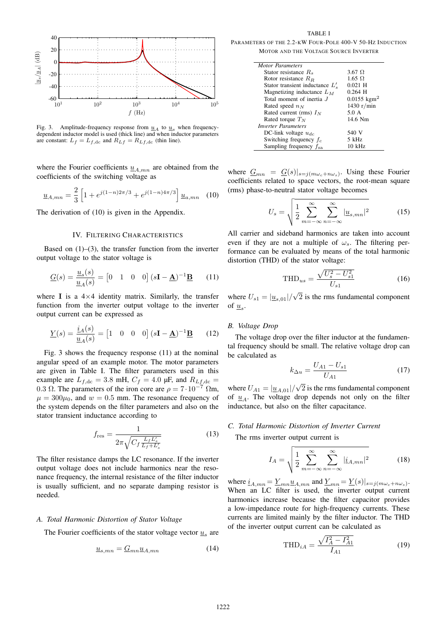

Fig. 3. Amplitude-frequency response from  $\underline{u}_A$  to  $\underline{u}_s$  when frequencydependent inductor model is used (thick line) and when inductor parameters are constant:  $L_f = L_{f,\text{dc}}$  and  $R_{Lf} = R_{Lf,\text{dc}}$  (thin line).

where the Fourier coefficients  $\underline{u}_{A,mn}$  are obtained from the coefficients of the switching voltage as

$$
\underline{u}_{A,mn} = \frac{2}{3} \left[ 1 + e^{j(1-n)2\pi/3} + e^{j(1-n)4\pi/3} \right] \underline{u}_{a,mn} \quad (10)
$$

The derivation of (10) is given in the Appendix.

## IV. FILTERING CHARACTERISTICS

Based on  $(1)$ – $(3)$ , the transfer function from the inverter output voltage to the stator voltage is

$$
\underline{G}(s) = \frac{u_s(s)}{u_A(s)} = \begin{bmatrix} 0 & 1 & 0 & 0 \end{bmatrix} (s\mathbf{I} - \underline{\mathbf{A}})^{-1} \underline{\mathbf{B}} \qquad (11)
$$

where I is a  $4\times4$  identity matrix. Similarly, the transfer function from the inverter output voltage to the inverter output current can be expressed as

$$
\underline{Y}(s) = \frac{i_A(s)}{u_A(s)} = \begin{bmatrix} 1 & 0 & 0 & 0 \end{bmatrix} (s\mathbf{I} - \underline{\mathbf{A}})^{-1} \underline{\mathbf{B}} \qquad (12)
$$

Fig. 3 shows the frequency response (11) at the nominal angular speed of an example motor. The motor parameters are given in Table I. The filter parameters used in this example are  $L_{f,dc} = 3.8$  mH,  $C_f = 4.0$  µF, and  $R_{Lf,dc} =$ 0.3  $\Omega$ . The parameters of the iron core are  $\rho = 7 \cdot 10^{-7}$   $\Omega$ m,  $\mu = 300\mu_0$ , and  $w = 0.5$  mm. The resonance frequency of the system depends on the filter parameters and also on the stator transient inductance according to

$$
f_{\rm res} = \frac{1}{2\pi\sqrt{C_f \frac{L_f L'_s}{L_f + L'_s}}}
$$
(13)

The filter resistance damps the LC resonance. If the inverter output voltage does not include harmonics near the resonance frequency, the internal resistance of the filter inductor is usually sufficient, and no separate damping resistor is needed.

#### *A. Total Harmonic Distortion of Stator Voltage*

The Fourier coefficients of the stator voltage vector  $\underline{u}_s$  are

$$
\underline{u}_{s,mn} = \underline{G}_{mn}\underline{u}_{A,mn} \tag{14}
$$

PARAMETERS OF THE 2.2-KW FOUR-POLE 400-V 50-HZ INDUCTION MOTOR AND THE VOLTAGE SOURCE INVERTER

| <b>Motor Parameters</b>              |                           |
|--------------------------------------|---------------------------|
| Stator resistance $R_s$              | $3.67 \Omega$             |
| Rotor resistance $R_B$               | $1.65 \Omega$             |
| Stator transient inductance $L'_{s}$ | $0.021$ H                 |
| Magnetizing inductance $L_M$         | $0.264$ H                 |
| Total moment of inertia J            | $0.0155$ kgm <sup>2</sup> |
| Rated speed $n_N$                    | 1430 $r/min$              |
| Rated current (rms) $I_N$            | 5.0 A                     |
| Rated torque $T_N$                   | 14.6 Nm                   |
| <b>Inverter Parameters</b>           |                           |
| DC-link voltage $u_{dc}$             | 540 V                     |
| Switching frequency $f_c$            | 5 kHz                     |
| Sampling frequency $f_{\rm sa}$      | 10 kHz                    |

where  $G_{mn} = G(s)|_{s=j(m\omega_c+n\omega_s)}$ . Using these Fourier coefficients related to space vectors, the root-mean square (rms) phase-to-neutral stator voltage becomes

$$
U_s = \sqrt{\frac{1}{2} \sum_{m=-\infty}^{\infty} \sum_{n=-\infty}^{\infty} |\underline{u}_{s,mn}|^2}
$$
 (15)

All carrier and sideband harmonics are taken into account even if they are not a multiple of  $\omega_s$ . The filtering performance can be evaluated by means of the total harmonic distortion (THD) of the stator voltage:

$$
THD_{us} = \frac{\sqrt{U_s^2 - U_{s1}^2}}{U_{s1}} \tag{16}
$$

where  $U_{s1} = |\underline{u}_{s,01}|/\sqrt{2}$  is the rms fundamental component of  $\underline{u}_s$ .

## *B. Voltage Drop*

The voltage drop over the filter inductor at the fundamental frequency should be small. The relative voltage drop can be calculated as

$$
k_{\Delta u} = \frac{U_{A1} - U_{s1}}{U_{A1}} \tag{17}
$$

where  $U_{A1} = |\underline{u}_{A,01}|/\sqrt{2}$  is the rms fundamental component of  $u_A$ . The voltage drop depends not only on the filter inductance, but also on the filter capacitance.

#### *C. Total Harmonic Distortion of Inverter Current*

The rms inverter output current is

$$
I_A = \sqrt{\frac{1}{2} \sum_{m=-\infty}^{\infty} \sum_{n=-\infty}^{\infty} |\dot{\mathbf{z}}_{A,mn}|^2}
$$
 (18)

where  $\underline{i}_{A,mn} = \underline{Y}_{mn} \underline{u}_{A,mn}$  and  $\underline{Y}_{mn} = \underline{Y}(s)|_{s=j(m\omega_c+n\omega_s)}$ . When an LC filter is used, the inverter output current harmonics increase because the filter capacitor provides a low-impedance route for high-frequency currents. These currents are limited mainly by the filter inductor. The THD of the inverter output current can be calculated as

$$
THD_{iA} = \frac{\sqrt{I_A^2 - I_{A1}^2}}{I_{A1}}
$$
 (19)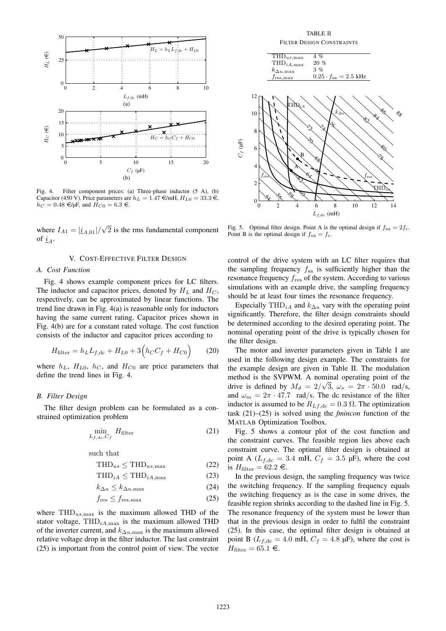

Fig. 4. Filter component prices: (a) Three-phase inductor (5 A), (b) Capacitor (450 V). Price parameters are  $h_L = 1.47 \, \text{mH}$ ,  $H_{L0} = 33.3 \, \text{m}$ ,  $h_C = 0.48 \in \text{/µF}$ , and  $H_{C0} = 6.3 \in$ .

where  $I_{A1} = |\underline{i}_{A,01}| / \sqrt{2}$  is the rms fundamental component of  $i_A$ .

## V. COST-EFFECTIVE FILTER DESIGN

#### *A. Cost Function*

Fig. 4 shows example component prices for LC filters. The inductor and capacitor prices, denoted by  $H_L$  and  $H_C$ , respectively, can be approximated by linear functions. The trend line drawn in Fig. 4(a) is reasonable only for inductors having the same current rating. Capacitor prices shown in Fig. 4(b) are for a constant rated voltage. The cost function consists of the inductor and capacitor prices according to

$$
H_{\text{filter}} = h_L L_{f, \text{dc}} + H_{L0} + 3(h_C C_f + H_{C0})
$$
 (20)

where  $h_L$ ,  $H_{L0}$ ,  $h_C$ , and  $H_{C0}$  are price parameters that define the trend lines in Fig. 4.

## *B. Filter Design*

The filter design problem can be formulated as a constrained optimization problem

$$
\min_{L_{f,\text{dc}},C_f} H_{\text{filter}} \tag{21}
$$

such that

$$
THD_{us} \leq THD_{us, \text{max}} \tag{22}
$$

$$
\text{THD}_{iA} \le \text{THD}_{iA,\text{max}} \tag{23}
$$

$$
k_{\Delta u} \le k_{\Delta u, \text{max}} \tag{24}
$$

$$
f_{\rm res} \le f_{\rm res,max} \tag{25}
$$

where  $THD_{us, max}$  is the maximum allowed THD of the stator voltage,  $THD<sub>iA,max</sub>$  is the maximum allowed THD of the inverter current, and  $k_{\Delta u, \text{max}}$  is the maximum allowed relative voltage drop in the filter inductor. The last constraint (25) is important from the control point of view. The vector



 $\theta$ 

Fig. 5. Optimal filter design. Point A is the optimal design if  $f_{sa} = 2f_c$ . Point B is the optimal design if  $f_{sa} = f_c$ .

control of the drive system with an LC filter requires that the sampling frequency  $f_{sa}$  is sufficiently higher than the resonance frequency  $f_{\text{res}}$  of the system. According to various simulations with an example drive, the sampling frequency should be at least four times the resonance frequency.

Especially THD<sub>iA</sub> and  $k_{\Delta u}$  vary with the operating point significantly. Therefore, the filter design constraints should be determined according to the desired operating point. The nominal operating point of the drive is typically chosen for the filter design.

The motor and inverter parameters given in Table I are used in the following design example. The constraints for the example design are given in Table II. The modulation method is the SVPWM. A nominal operating point of the drive is defined by  $M_d = 2/\sqrt{3}$ ,  $\omega_s = 2\pi \cdot 50.0$  rad/s, and  $\omega_m = 2\pi \cdot 47.7$  rad/s. The dc resistance of the filter inductor is assumed to be  $R_{Lf,dc} = 0.3 \Omega$ . The optimization task (21)–(25) is solved using the *fmincon* function of the MATLAB Optimization Toolbox.

Fig. 5 shows a contour plot of the cost function and the constraint curves. The feasible region lies above each constraint curve. The optimal filter design is obtained at point A ( $L_{f,dc}$  = 3.4 mH,  $C_f$  = 3.5  $\mu$ F), where the cost is  $H_{\text{filter}} = 62.2 \in$ .

In the previous design, the sampling frequency was twice the switching frequency. If the sampling frequency equals the switching frequency as is the case in some drives, the feasible region shrinks according to the dashed line in Fig. 5. The resonance frequency of the system must be lower than that in the previous design in order to fulfil the constraint (25). In this case, the optimal filter design is obtained at point B ( $L_{f,dc} = 4.0$  mH,  $C_f = 4.8$  µF), where the cost is  $H_{\text{filter}} = 65.1 \in.$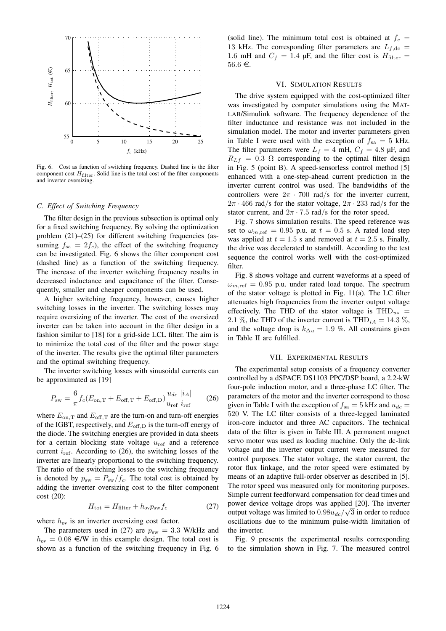

Fig. 6. Cost as function of switching frequency. Dashed line is the filter component cost  $H_{\text{filter}}$ . Solid line is the total cost of the filter components and inverter oversizing.

## *C. Effect of Switching Frequency*

The filter design in the previous subsection is optimal only for a fixed switching frequency. By solving the optimization problem  $(21)$ – $(25)$  for different switching frequencies (assuming  $f_{\rm{sa}} = 2f_c$ , the effect of the switching frequency can be investigated. Fig. 6 shows the filter component cost (dashed line) as a function of the switching frequency. The increase of the inverter switching frequency results in decreased inductance and capacitance of the filter. Consequently, smaller and cheaper components can be used.

A higher switching frequency, however, causes higher switching losses in the inverter. The switching losses may require oversizing of the inverter. The cost of the oversized inverter can be taken into account in the filter design in a fashion similar to [18] for a grid-side LCL filter. The aim is to minimize the total cost of the filter and the power stage of the inverter. The results give the optimal filter parameters and the optimal switching frequency.

The inverter switching losses with sinusoidal currents can be approximated as [19]

$$
P_{\rm sw} = \frac{6}{\pi} f_c (E_{\rm on, T} + E_{\rm off, T} + E_{\rm off, D}) \frac{u_{dc}}{u_{\rm ref}} \frac{|i_A|}{i_{\rm ref}} \qquad (26)
$$

where  $E_{\text{on,T}}$  and  $E_{\text{off,T}}$  are the turn-on and turn-off energies of the IGBT, respectively, and  $E_{\text{off},D}$  is the turn-off energy of the diode. The switching energies are provided in data sheets for a certain blocking state voltage  $u_{ref}$  and a reference current  $i_{\text{ref}}$ . According to (26), the switching losses of the inverter are linearly proportional to the switching frequency. The ratio of the switching losses to the switching frequency is denoted by  $p_{sw} = P_{sw}/f_c$ . The total cost is obtained by adding the inverter oversizing cost to the filter component cost (20):

$$
H_{\text{tot}} = H_{\text{filter}} + h_{\text{ov}} p_{\text{sw}} f_c \tag{27}
$$

where  $h_{\text{ov}}$  is an inverter oversizing cost factor.

The parameters used in (27) are  $p_{sw} = 3.3$  W/kHz and  $h_{\text{ov}} = 0.08 \in \text{NW}$  in this example design. The total cost is shown as a function of the switching frequency in Fig. 6 (solid line). The minimum total cost is obtained at  $f_c =$ 13 kHz. The corresponding filter parameters are  $L_{f,dc}$  = 1.6 mH and  $C_f = 1.4 \mu$ F, and the filter cost is  $H_{\text{filter}} =$  $56.6 \in .$ 

## VI. SIMULATION RESULTS

The drive system equipped with the cost-optimized filter was investigated by computer simulations using the MAT-LAB/Simulink software. The frequency dependence of the filter inductance and resistance was not included in the simulation model. The motor and inverter parameters given in Table I were used with the exception of  $f_{\rm{sa}} = 5$  kHz. The filter parameters were  $L_f = 4$  mH,  $C_f = 4.8$  µF, and  $R_{Lf} = 0.3 \Omega$  corresponding to the optimal filter design in Fig. 5 (point B). A speed-sensorless control method [5] enhanced with a one-step-ahead current prediction in the inverter current control was used. The bandwidths of the controllers were  $2\pi \cdot 700$  rad/s for the inverter current,  $2\pi \cdot 466$  rad/s for the stator voltage,  $2\pi \cdot 233$  rad/s for the stator current, and  $2\pi \cdot 7.5$  rad/s for the rotor speed.

Fig. 7 shows simulation results. The speed reference was set to  $\omega_{m,ref} = 0.95$  p.u. at  $t = 0.5$  s. A rated load step was applied at  $t = 1.5$  s and removed at  $t = 2.5$  s. Finally, the drive was decelerated to standstill. According to the test sequence the control works well with the cost-optimized filter.

Fig. 8 shows voltage and current waveforms at a speed of  $\omega_{m,ref} = 0.95$  p.u. under rated load torque. The spectrum of the stator voltage is plotted in Fig. 11(a). The LC filter attenuates high frequencies from the inverter output voltage effectively. The THD of the stator voltage is  $THD_{us}$  = 2.1 %, the THD of the inverter current is THD<sub>iA</sub> = 14.3 %, and the voltage drop is  $k_{\Delta u} = 1.9$  %. All constrains given in Table II are fulfilled.

#### VII. EXPERIMENTAL RESULTS

The experimental setup consists of a frequency converter controlled by a dSPACE DS1103 PPC/DSP board, a 2.2-kW four-pole induction motor, and a three-phase LC filter. The parameters of the motor and the inverter correspond to those given in Table I with the exception of  $f_{\rm sa} = 5$  kHz and  $u_{dc} =$ 520 V. The LC filter consists of a three-legged laminated iron-core inductor and three AC capacitors. The technical data of the filter is given in Table III. A permanent magnet servo motor was used as loading machine. Only the dc-link voltage and the inverter output current were measured for control purposes. The stator voltage, the stator current, the rotor flux linkage, and the rotor speed were estimated by means of an adaptive full-order observer as described in [5]. The rotor speed was measured only for monitoring purposes. Simple current feedforward compensation for dead times and power device voltage drops was applied [20]. The inverter output voltage was limited to  $0.98u_{dc}/\sqrt{3}$  in order to reduce oscillations due to the minimum pulse-width limitation of the inverter.

Fig. 9 presents the experimental results corresponding to the simulation shown in Fig. 7. The measured control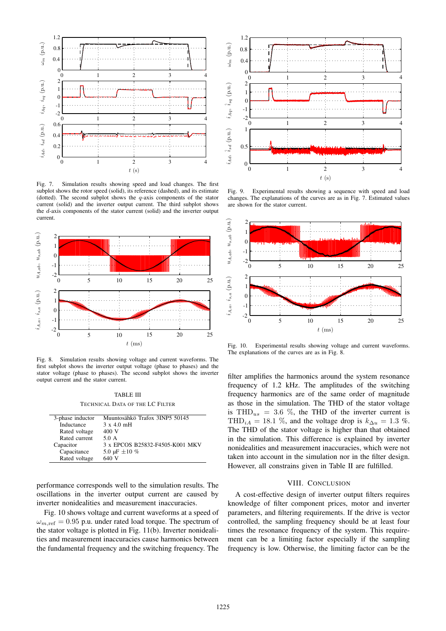

Fig. 7. Simulation results showing speed and load changes. The first subplot shows the rotor speed (solid), its reference (dashed), and its estimate (dotted). The second subplot shows the  $q$ -axis components of the stator current (solid) and the inverter output current. The third subplot shows the d-axis components of the stator current (solid) and the inverter output current.



Fig. 8. Simulation results showing voltage and current waveforms. The first subplot shows the inverter output voltage (phase to phases) and the stator voltage (phase to phases). The second subplot shows the inverter output current and the stator current.

TABLE III TECHNICAL DATA OF THE LC FILTER

| 3-phase inductor | Muuntosähkö Trafox 3INP5 50145  |
|------------------|---------------------------------|
| Inductance       | $3 \times 4.0$ mH               |
| Rated voltage    | 400 V                           |
| Rated current    | 5.0 A                           |
| Capacitor        | 3 x EPCOS B25832-F4505-K001 MKV |
| Capacitance      | 5.0 $\mu$ F ±10 %               |
| Rated voltage    | 640 V                           |

performance corresponds well to the simulation results. The oscillations in the inverter output current are caused by inverter nonidealities and measurement inaccuracies.

Fig. 10 shows voltage and current waveforms at a speed of  $\omega_{m,\text{ref}} = 0.95$  p.u. under rated load torque. The spectrum of the stator voltage is plotted in Fig. 11(b). Inverter nonidealities and measurement inaccuracies cause harmonics between the fundamental frequency and the switching frequency. The



Fig. 9. Experimental results showing a sequence with speed and load changes. The explanations of the curves are as in Fig. 7. Estimated values are shown for the stator current.



Fig. 10. Experimental results showing voltage and current waveforms. The explanations of the curves are as in Fig. 8.

filter amplifies the harmonics around the system resonance frequency of 1.2 kHz. The amplitudes of the switching frequency harmonics are of the same order of magnitude as those in the simulation. The THD of the stator voltage is THD<sub>us</sub> = 3.6 %, the THD of the inverter current is THD<sub>iA</sub> = 18.1 %, and the voltage drop is  $k_{\Delta u} = 1.3$  %. The THD of the stator voltage is higher than that obtained in the simulation. This difference is explained by inverter nonidealities and measurement inaccuracies, which were not taken into account in the simulation nor in the filter design. However, all constrains given in Table II are fulfilled.

#### VIII. CONCLUSION

A cost-effective design of inverter output filters requires knowledge of filter component prices, motor and inverter parameters, and filtering requirements. If the drive is vector controlled, the sampling frequency should be at least four times the resonance frequency of the system. This requirement can be a limiting factor especially if the sampling frequency is low. Otherwise, the limiting factor can be the